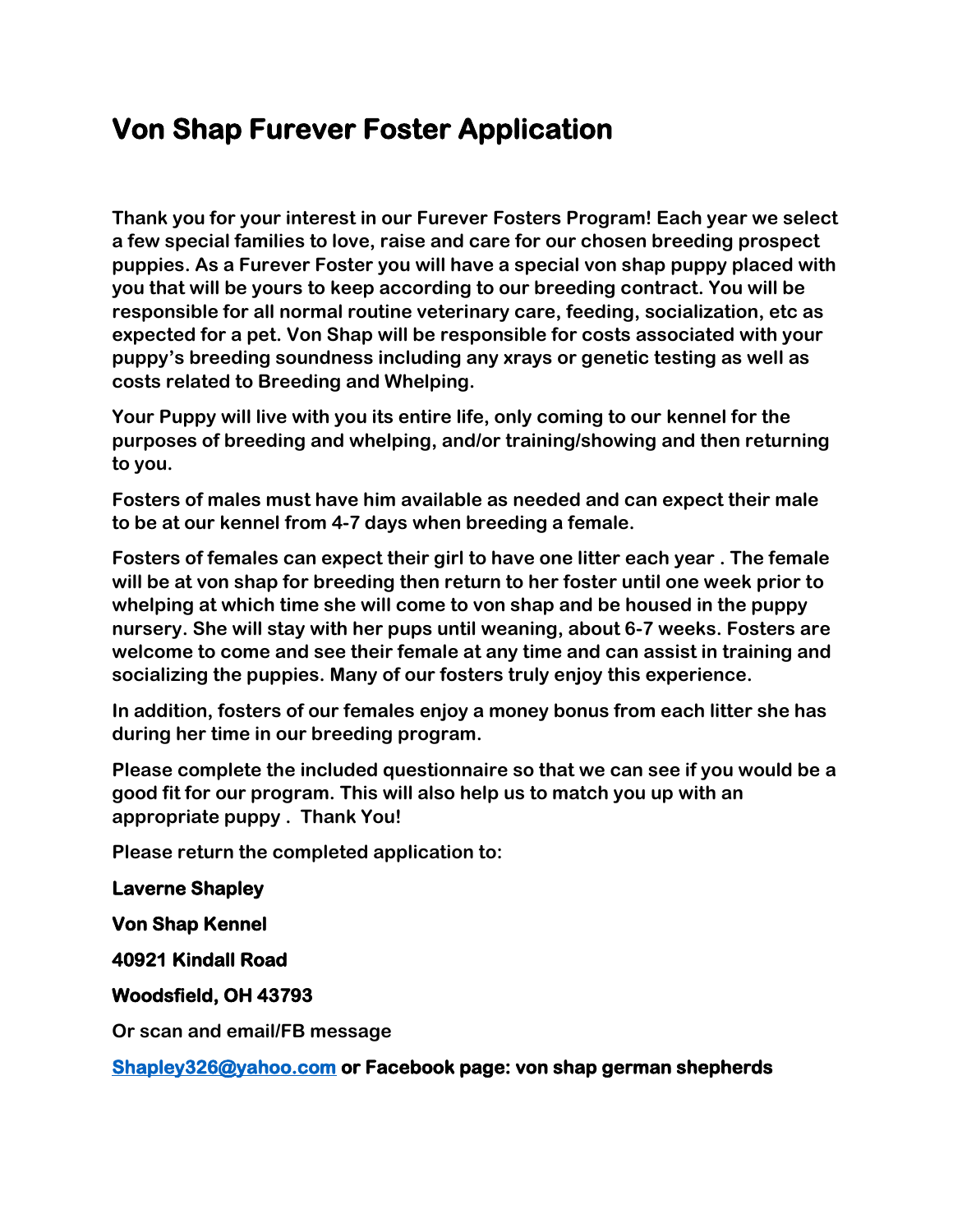## **Von Shap Furever Foster Application**

**Thank you for your interest in our Furever Fosters Program! Each year we select a few special families to love, raise and care for our chosen breeding prospect puppies. As a Furever Foster you will have a special von shap puppy placed with you that will be yours to keep according to our breeding contract. You will be responsible for all normal routine veterinary care, feeding, socialization, etc as expected for a pet. Von Shap will be responsible for costs associated with your puppy's breeding soundness including any xrays or genetic testing as well as costs related to Breeding and Whelping.**

**Your Puppy will live with you its entire life, only coming to our kennel for the purposes of breeding and whelping, and/or training/showing and then returning to you.**

**Fosters of males must have him available as needed and can expect their male to be at our kennel from 4-7 days when breeding a female.**

**Fosters of females can expect their girl to have one litter each year . The female will be at von shap for breeding then return to her foster until one week prior to whelping at which time she will come to von shap and be housed in the puppy nursery. She will stay with her pups until weaning, about 6-7 weeks. Fosters are welcome to come and see their female at any time and can assist in training and socializing the puppies. Many of our fosters truly enjoy this experience.**

**In addition, fosters of our females enjoy a money bonus from each litter she has during her time in our breeding program.**

**Please complete the included questionnaire so that we can see if you would be a good fit for our program. This will also help us to match you up with an appropriate puppy . Thank You!**

**Please return the completed application to:**

## **Laverne Shapley**

**Von Shap Kennel** 

**40921 Kindall Road** 

**Woodsfield, OH 43793** 

**Or scan and email/FB message**

**[Shapley326@yahoo.com](mailto:Shapley326@yahoo.com) or Facebook page: von shap german shepherds**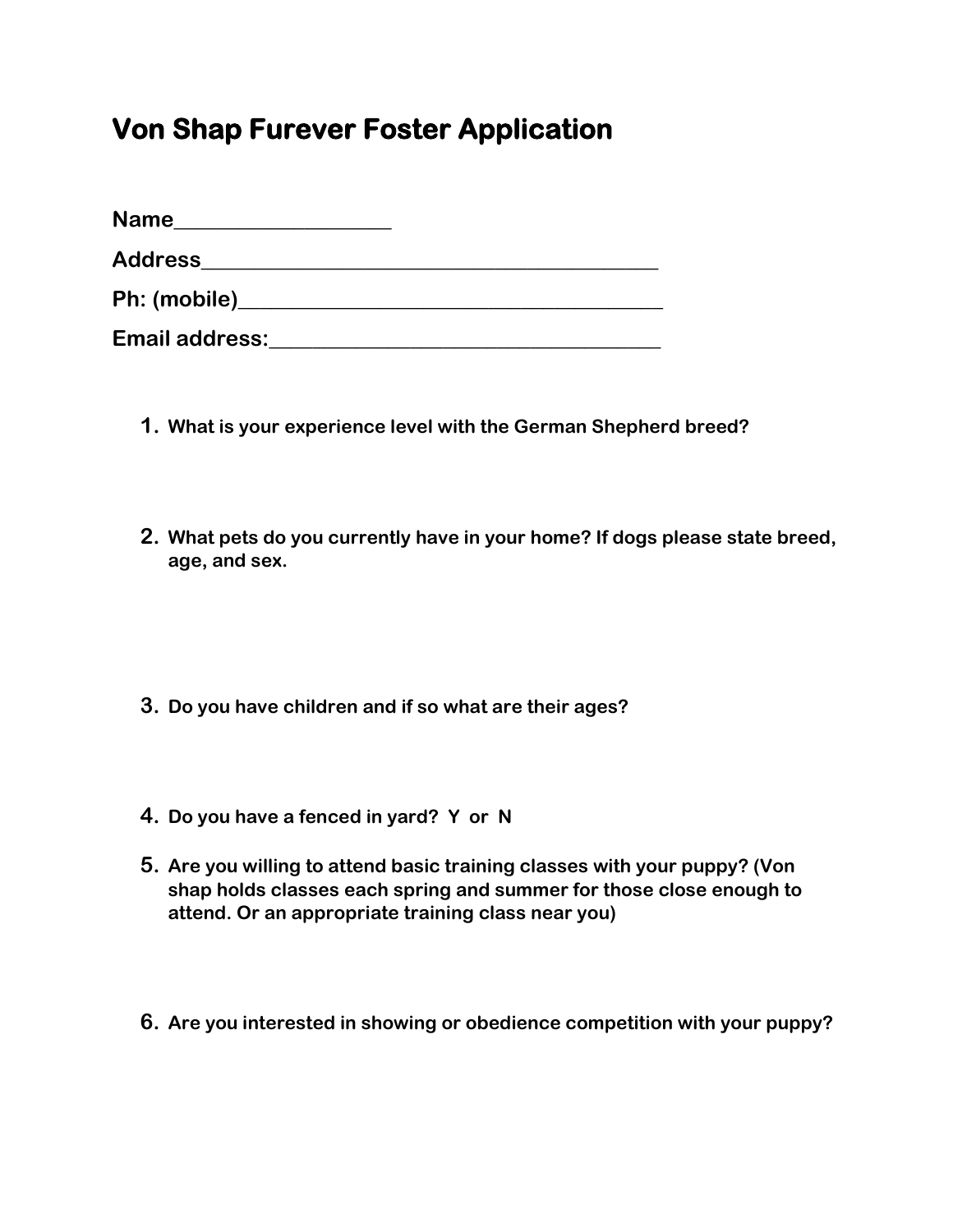## **Von Shap Furever Foster Application**

| <b>Name</b>           |  |
|-----------------------|--|
| <b>Address</b>        |  |
| Ph: (mobile)____      |  |
| <b>Email address:</b> |  |

- **1. What is your experience level with the German Shepherd breed?**
- **2. What pets do you currently have in your home? If dogs please state breed, age, and sex.**
- **3. Do you have children and if so what are their ages?**
- **4. Do you have a fenced in yard? Y or N**
- **5. Are you willing to attend basic training classes with your puppy? (Von shap holds classes each spring and summer for those close enough to attend. Or an appropriate training class near you)**
- **6. Are you interested in showing or obedience competition with your puppy?**